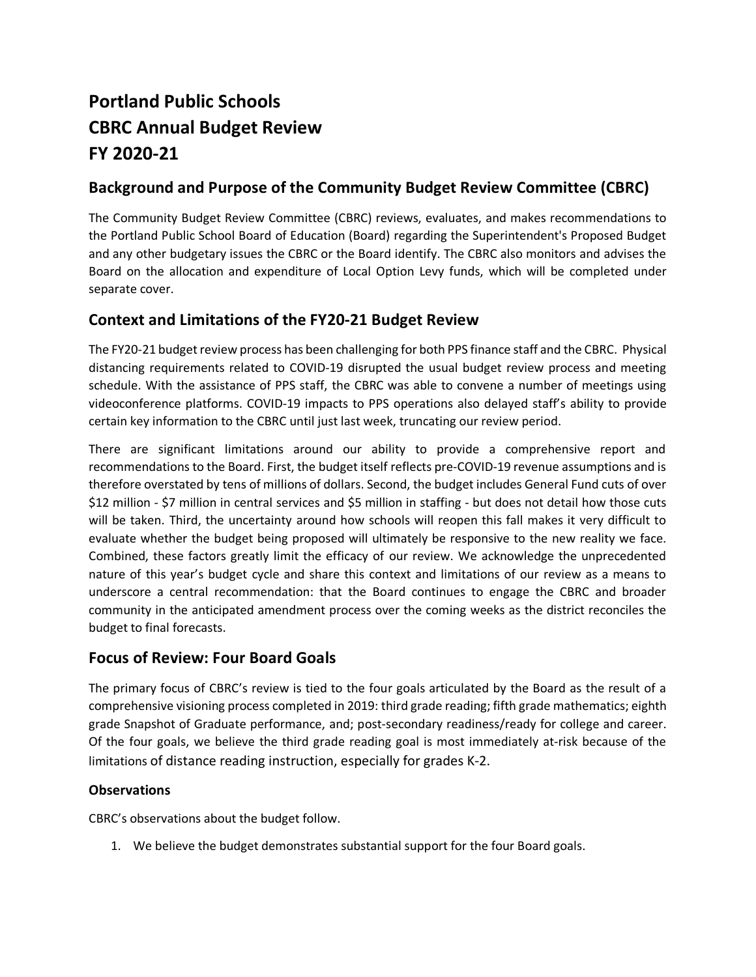# **Portland Public Schools CBRC Annual Budget Review FY 2020-21**

# **Background and Purpose of the Community Budget Review Committee (CBRC)**

The Community Budget Review Committee (CBRC) reviews, evaluates, and makes recommendations to the Portland Public School Board of Education (Board) regarding the Superintendent's Proposed Budget and any other budgetary issues the CBRC or the Board identify. The CBRC also monitors and advises the Board on the allocation and expenditure of Local Option Levy funds, which will be completed under separate cover.

## **Context and Limitations of the FY20-21 Budget Review**

The FY20-21 budget review process has been challenging for both PPS finance staff and the CBRC. Physical distancing requirements related to COVID-19 disrupted the usual budget review process and meeting schedule. With the assistance of PPS staff, the CBRC was able to convene a number of meetings using videoconference platforms. COVID-19 impacts to PPS operations also delayed staff's ability to provide certain key information to the CBRC until just last week, truncating our review period.

There are significant limitations around our ability to provide a comprehensive report and recommendations to the Board. First, the budget itself reflects pre-COVID-19 revenue assumptions and is therefore overstated by tens of millions of dollars. Second, the budget includes General Fund cuts of over \$12 million - \$7 million in central services and \$5 million in staffing - but does not detail how those cuts will be taken. Third, the uncertainty around how schools will reopen this fall makes it very difficult to evaluate whether the budget being proposed will ultimately be responsive to the new reality we face. Combined, these factors greatly limit the efficacy of our review. We acknowledge the unprecedented nature of this year's budget cycle and share this context and limitations of our review as a means to underscore a central recommendation: that the Board continues to engage the CBRC and broader community in the anticipated amendment process over the coming weeks as the district reconciles the budget to final forecasts.

### **Focus of Review: Four Board Goals**

The primary focus of CBRC's review is tied to the four goals articulated by the Board as the result of a comprehensive visioning process completed in 2019: third grade reading; fifth grade mathematics; eighth grade Snapshot of Graduate performance, and; post-secondary readiness/ready for college and career. Of the four goals, we believe the third grade reading goal is most immediately at-risk because of the limitations of distance reading instruction, especially for grades K-2.

#### **Observations**

CBRC's observations about the budget follow.

1. We believe the budget demonstrates substantial support for the four Board goals.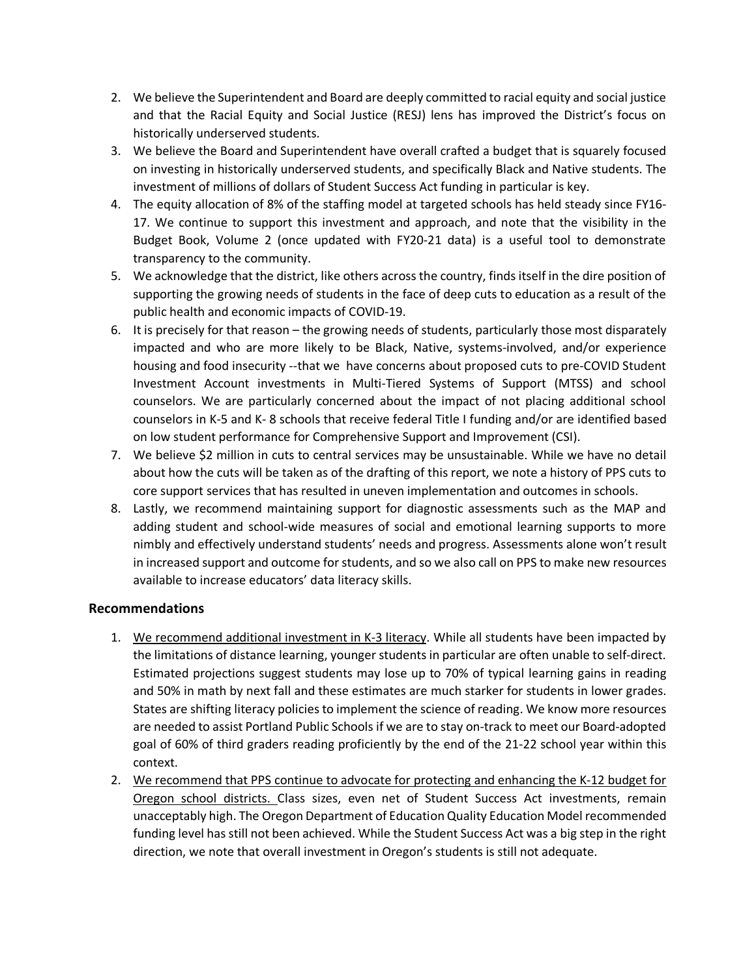- 2. We believe the Superintendent and Board are deeply committed to racial equity and social justice and that the Racial Equity and Social Justice (RESJ) lens has improved the District's focus on historically underserved students.
- 3. We believe the Board and Superintendent have overall crafted a budget that is squarely focused on investing in historically underserved students, and specifically Black and Native students. The investment of millions of dollars of Student Success Act funding in particular is key.
- 4. The equity allocation of 8% of the staffing model at targeted schools has held steady since FY16- 17. We continue to support this investment and approach, and note that the visibility in the Budget Book, Volume 2 (once updated with FY20-21 data) is a useful tool to demonstrate transparency to the community.
- 5. We acknowledge that the district, like others across the country, finds itself in the dire position of supporting the growing needs of students in the face of deep cuts to education as a result of the public health and economic impacts of COVID-19.
- 6. It is precisely for that reason the growing needs of students, particularly those most disparately impacted and who are more likely to be Black, Native, systems-involved, and/or experience housing and food insecurity --that we have concerns about proposed cuts to pre-COVID Student Investment Account investments in Multi-Tiered Systems of Support (MTSS) and school counselors. We are particularly concerned about the impact of not placing additional school counselors in K-5 and K- 8 schools that receive federal Title I funding and/or are identified based on low student performance for Comprehensive Support and Improvement (CSI).
- 7. We believe \$2 million in cuts to central services may be unsustainable. While we have no detail about how the cuts will be taken as of the drafting of this report, we note a history of PPS cuts to core support services that has resulted in uneven implementation and outcomes in schools.
- 8. Lastly, we recommend maintaining support for diagnostic assessments such as the MAP and adding student and school-wide measures of social and emotional learning supports to more nimbly and effectively understand students' needs and progress. Assessments alone won't result in increased support and outcome for students, and so we also call on PPS to make new resources available to increase educators' data literacy skills.

#### **Recommendations**

- 1. We recommend additional investment in K-3 literacy. While all students have been impacted by the limitations of distance learning, younger students in particular are often unable to self-direct. Estimated projections suggest students may lose up to 70% of typical learning gains in reading and 50% in math by next fall and these estimates are much starker for students in lower grades. States are shifting literacy policies to implement the science of reading. We know more resources are needed to assist Portland Public Schools if we are to stay on-track to meet our Board-adopted goal of 60% of third graders reading proficiently by the end of the 21-22 school year within this context.
- 2. We recommend that PPS continue to advocate for protecting and enhancing the K-12 budget for Oregon school districts. Class sizes, even net of Student Success Act investments, remain unacceptably high. The Oregon Department of Education Quality Education Model recommended funding level has still not been achieved. While the Student Success Act was a big step in the right direction, we note that overall investment in Oregon's students is still not adequate.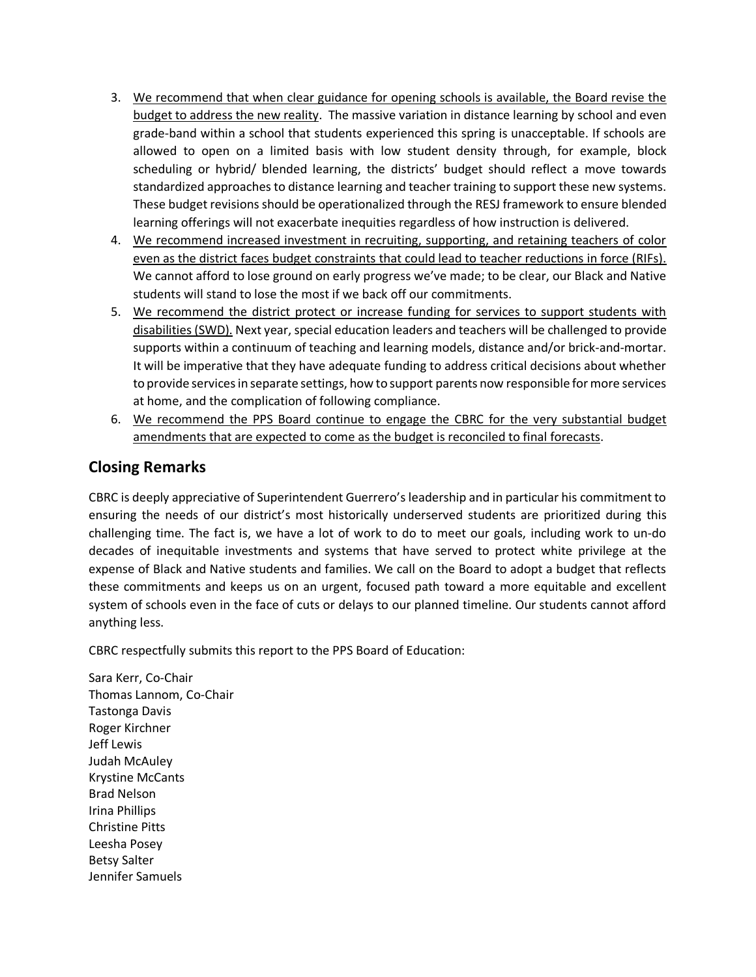- 3. We recommend that when clear guidance for opening schools is available, the Board revise the budget to address the new reality. The massive variation in distance learning by school and even grade-band within a school that students experienced this spring is unacceptable. If schools are allowed to open on a limited basis with low student density through, for example, block scheduling or hybrid/ blended learning, the districts' budget should reflect a move towards standardized approaches to distance learning and teacher training to support these new systems. These budget revisions should be operationalized through the RESJ framework to ensure blended learning offerings will not exacerbate inequities regardless of how instruction is delivered.
- 4. We recommend increased investment in recruiting, supporting, and retaining teachers of color even as the district faces budget constraints that could lead to teacher reductions in force (RIFs). We cannot afford to lose ground on early progress we've made; to be clear, our Black and Native students will stand to lose the most if we back off our commitments.
- 5. We recommend the district protect or increase funding for services to support students with disabilities (SWD). Next year, special education leaders and teachers will be challenged to provide supports within a continuum of teaching and learning models, distance and/or brick-and-mortar. It will be imperative that they have adequate funding to address critical decisions about whether to provide services in separate settings, how to support parents now responsible for more services at home, and the complication of following compliance.
- 6. We recommend the PPS Board continue to engage the CBRC for the very substantial budget amendments that are expected to come as the budget is reconciled to final forecasts.

## **Closing Remarks**

CBRC is deeply appreciative of Superintendent Guerrero's leadership and in particular his commitment to ensuring the needs of our district's most historically underserved students are prioritized during this challenging time. The fact is, we have a lot of work to do to meet our goals, including work to un-do decades of inequitable investments and systems that have served to protect white privilege at the expense of Black and Native students and families. We call on the Board to adopt a budget that reflects these commitments and keeps us on an urgent, focused path toward a more equitable and excellent system of schools even in the face of cuts or delays to our planned timeline. Our students cannot afford anything less.

CBRC respectfully submits this report to the PPS Board of Education:

Sara Kerr, Co-Chair Thomas Lannom, Co-Chair Tastonga Davis Roger Kirchner Jeff Lewis Judah McAuley Krystine McCants Brad Nelson Irina Phillips Christine Pitts Leesha Posey Betsy Salter Jennifer Samuels